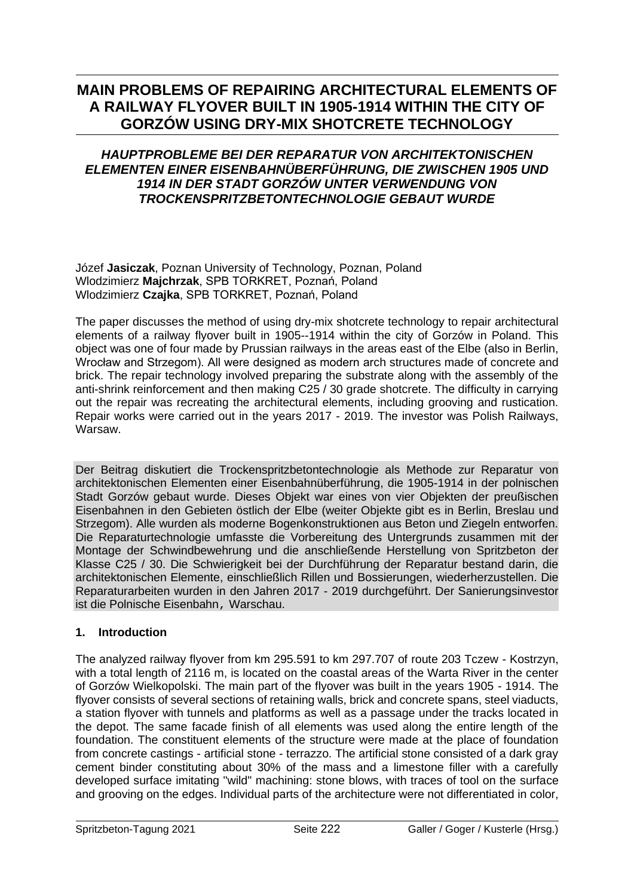# **MAIN PROBLEMS OF REPAIRING ARCHITECTURAL ELEMENTS OF A RAILWAY FLYOVER BUILT IN 1905-1914 WITHIN THE CITY OF GORZÓW USING DRY-MIX SHOTCRETE TECHNOLOGY**

# *HAUPTPROBLEME BEI DER REPARATUR VON ARCHITEKTONISCHEN ELEMENTEN EINER EISENBAHNÜBERFÜHRUNG, DIE ZWISCHEN 1905 UND 1914 IN DER STADT GORZÓW UNTER VERWENDUNG VON TROCKENSPRITZBETONTECHNOLOGIE GEBAUT WURDE*

Józef **Jasiczak**, Poznan University of Technology, Poznan, Poland Wlodzimierz **Majchrzak**, SPB TORKRET, Poznań, Poland Wlodzimierz **Czajka**, SPB TORKRET, Poznań, Poland

The paper discusses the method of using dry-mix shotcrete technology to repair architectural elements of a railway flyover built in 1905--1914 within the city of Gorzów in Poland. This object was one of four made by Prussian railways in the areas east of the Elbe (also in Berlin, Wrocław and Strzegom). All were designed as modern arch structures made of concrete and brick. The repair technology involved preparing the substrate along with the assembly of the anti-shrink reinforcement and then making C25 / 30 grade shotcrete. The difficulty in carrying out the repair was recreating the architectural elements, including grooving and rustication. Repair works were carried out in the years 2017 - 2019. The investor was Polish Railways, Warsaw.

Der Beitrag diskutiert die Trockenspritzbetontechnologie als Methode zur Reparatur von architektonischen Elementen einer Eisenbahnüberführung, die 1905-1914 in der polnischen Stadt Gorzów gebaut wurde. Dieses Objekt war eines von vier Objekten der preußischen Eisenbahnen in den Gebieten östlich der Elbe (weiter Objekte gibt es in Berlin, Breslau und Strzegom). Alle wurden als moderne Bogenkonstruktionen aus Beton und Ziegeln entworfen. Die Reparaturtechnologie umfasste die Vorbereitung des Untergrunds zusammen mit der Montage der Schwindbewehrung und die anschließende Herstellung von Spritzbeton der Klasse C25 / 30. Die Schwierigkeit bei der Durchführung der Reparatur bestand darin, die architektonischen Elemente, einschließlich Rillen und Bossierungen, wiederherzustellen. Die Reparaturarbeiten wurden in den Jahren 2017 - 2019 durchgeführt. Der Sanierungsinvestor ist die Polnische Eisenbahn, Warschau.

# **1. Introduction**

The analyzed railway flyover from km 295.591 to km 297.707 of route 203 Tczew - Kostrzyn, with a total length of 2116 m, is located on the coastal areas of the Warta River in the center of Gorzów Wielkopolski. The main part of the flyover was built in the years 1905 - 1914. The flyover consists of several sections of retaining walls, brick and concrete spans, steel viaducts, a station flyover with tunnels and platforms as well as a passage under the tracks located in the depot. The same facade finish of all elements was used along the entire length of the foundation. The constituent elements of the structure were made at the place of foundation from concrete castings - artificial stone - terrazzo. The artificial stone consisted of a dark gray cement binder constituting about 30% of the mass and a limestone filler with a carefully developed surface imitating "wild" machining: stone blows, with traces of tool on the surface and grooving on the edges. Individual parts of the architecture were not differentiated in color,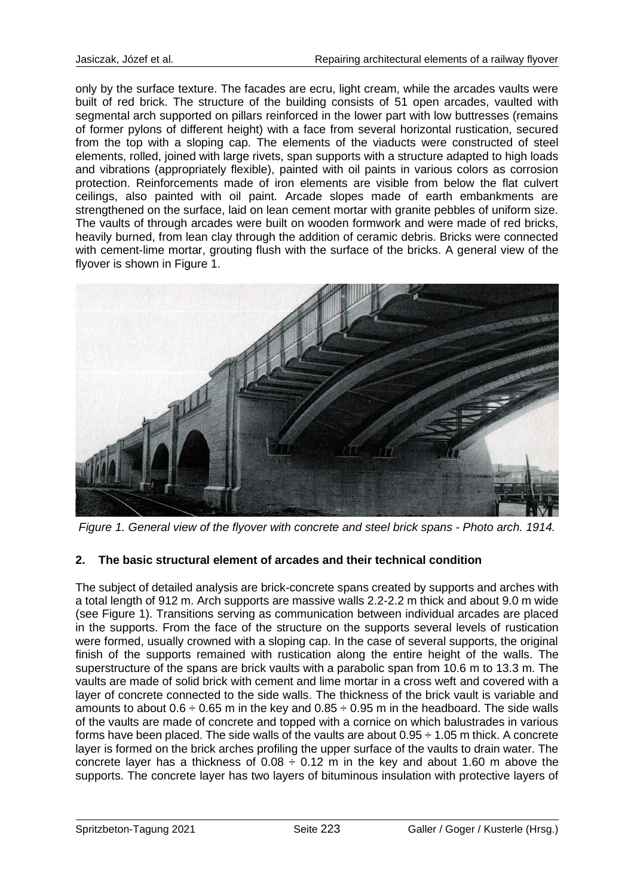only by the surface texture. The facades are ecru, light cream, while the arcades vaults were built of red brick. The structure of the building consists of 51 open arcades, vaulted with segmental arch supported on pillars reinforced in the lower part with low buttresses (remains of former pylons of different height) with a face from several horizontal rustication, secured from the top with a sloping cap. The elements of the viaducts were constructed of steel elements, rolled, joined with large rivets, span supports with a structure adapted to high loads and vibrations (appropriately flexible), painted with oil paints in various colors as corrosion protection. Reinforcements made of iron elements are visible from below the flat culvert ceilings, also painted with oil paint. Arcade slopes made of earth embankments are strengthened on the surface, laid on lean cement mortar with granite pebbles of uniform size. The vaults of through arcades were built on wooden formwork and were made of red bricks, heavily burned, from lean clay through the addition of ceramic debris. Bricks were connected with cement-lime mortar, grouting flush with the surface of the bricks. A general view of the flyover is shown in Figure 1.



*Figure 1. General view of the flyover with concrete and steel brick spans - Photo arch. 1914.*

## **2. The basic structural element of arcades and their technical condition**

The subject of detailed analysis are brick-concrete spans created by supports and arches with a total length of 912 m. Arch supports are massive walls 2.2-2.2 m thick and about 9.0 m wide (see Figure 1). Transitions serving as communication between individual arcades are placed in the supports. From the face of the structure on the supports several levels of rustication were formed, usually crowned with a sloping cap. In the case of several supports, the original finish of the supports remained with rustication along the entire height of the walls. The superstructure of the spans are brick vaults with a parabolic span from 10.6 m to 13.3 m. The vaults are made of solid brick with cement and lime mortar in a cross weft and covered with a layer of concrete connected to the side walls. The thickness of the brick vault is variable and amounts to about  $0.6 \div 0.65$  m in the key and  $0.85 \div 0.95$  m in the headboard. The side walls of the vaults are made of concrete and topped with a cornice on which balustrades in various forms have been placed. The side walls of the vaults are about  $0.95 \div 1.05$  m thick. A concrete layer is formed on the brick arches profiling the upper surface of the vaults to drain water. The concrete layer has a thickness of  $0.08 \div 0.12$  m in the key and about 1.60 m above the supports. The concrete layer has two layers of bituminous insulation with protective layers of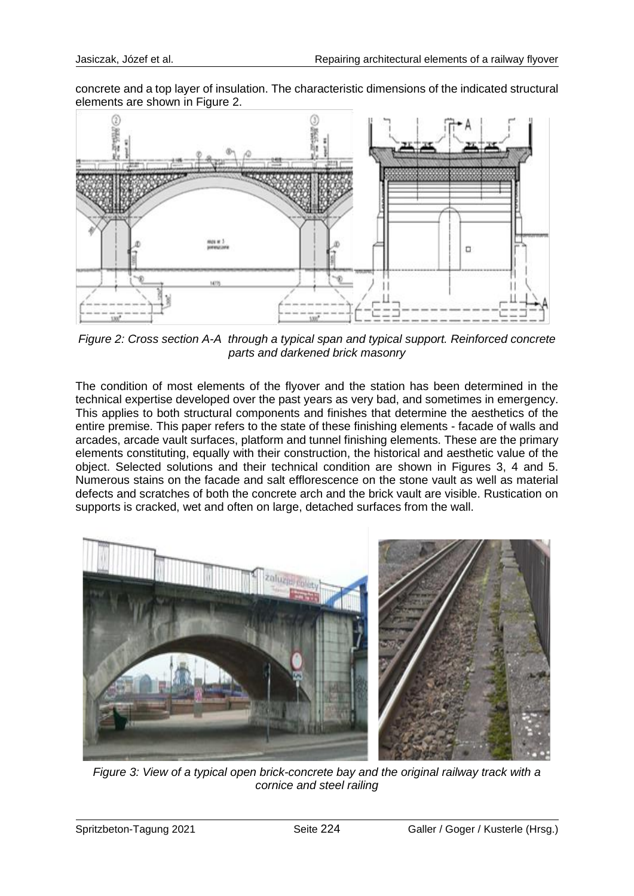concrete and a top layer of insulation. The characteristic dimensions of the indicated structural elements are shown in Figure 2.



*Figure 2: Cross section A-A through a typical span and typical support. Reinforced concrete parts and darkened brick masonry*

The condition of most elements of the flyover and the station has been determined in the technical expertise developed over the past years as very bad, and sometimes in emergency. This applies to both structural components and finishes that determine the aesthetics of the entire premise. This paper refers to the state of these finishing elements - facade of walls and arcades, arcade vault surfaces, platform and tunnel finishing elements. These are the primary elements constituting, equally with their construction, the historical and aesthetic value of the object. Selected solutions and their technical condition are shown in Figures 3, 4 and 5. Numerous stains on the facade and salt efflorescence on the stone vault as well as material defects and scratches of both the concrete arch and the brick vault are visible. Rustication on supports is cracked, wet and often on large, detached surfaces from the wall.



*Figure 3: View of a typical open brick-concrete bay and the original railway track with a cornice and steel railing*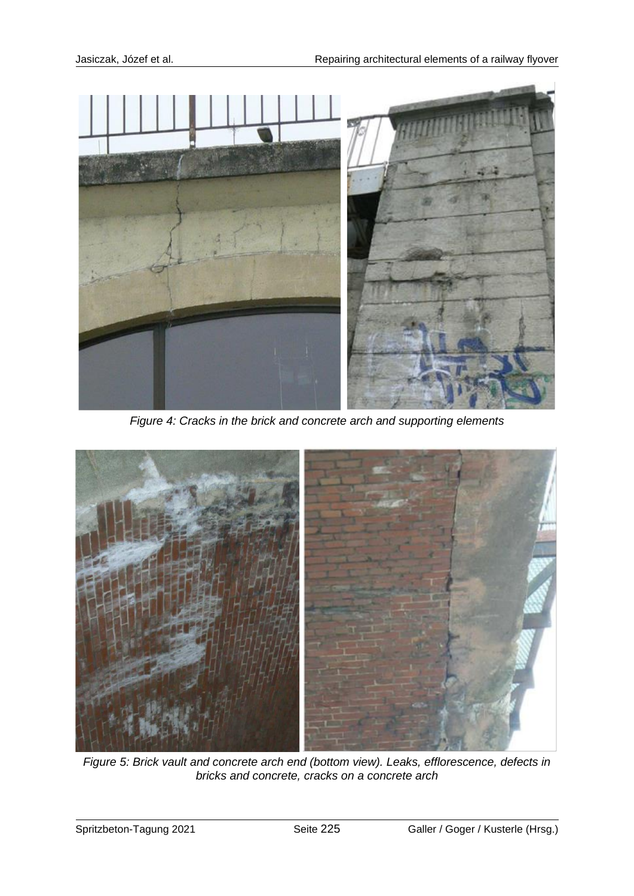

*Figure 4: Cracks in the brick and concrete arch and supporting elements*



*Figure 5: Brick vault and concrete arch end (bottom view). Leaks, efflorescence, defects in bricks and concrete, cracks on a concrete arch*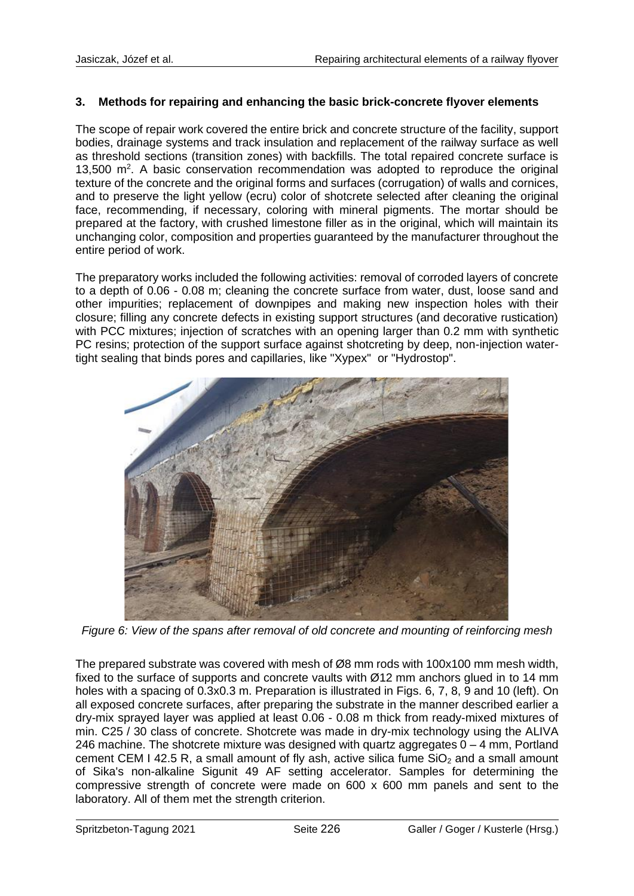#### **3. Methods for repairing and enhancing the basic brick-concrete flyover elements**

The scope of repair work covered the entire brick and concrete structure of the facility, support bodies, drainage systems and track insulation and replacement of the railway surface as well as threshold sections (transition zones) with backfills. The total repaired concrete surface is 13,500 m<sup>2</sup>. A basic conservation recommendation was adopted to reproduce the original texture of the concrete and the original forms and surfaces (corrugation) of walls and cornices, and to preserve the light yellow (ecru) color of shotcrete selected after cleaning the original face, recommending, if necessary, coloring with mineral pigments. The mortar should be prepared at the factory, with crushed limestone filler as in the original, which will maintain its unchanging color, composition and properties guaranteed by the manufacturer throughout the entire period of work.

The preparatory works included the following activities: removal of corroded layers of concrete to a depth of 0.06 - 0.08 m; cleaning the concrete surface from water, dust, loose sand and other impurities; replacement of downpipes and making new inspection holes with their closure; filling any concrete defects in existing support structures (and decorative rustication) with PCC mixtures; injection of scratches with an opening larger than 0.2 mm with synthetic PC resins; protection of the support surface against shotcreting by deep, non-injection watertight sealing that binds pores and capillaries, like "Xypex" or "Hydrostop".



*Figure 6: View of the spans after removal of old concrete and mounting of reinforcing mesh*

The prepared substrate was covered with mesh of Ø8 mm rods with 100x100 mm mesh width, fixed to the surface of supports and concrete vaults with Ø12 mm anchors glued in to 14 mm holes with a spacing of 0.3x0.3 m. Preparation is illustrated in Figs. 6, 7, 8, 9 and 10 (left). On all exposed concrete surfaces, after preparing the substrate in the manner described earlier a dry-mix sprayed layer was applied at least 0.06 - 0.08 m thick from ready-mixed mixtures of min. C25 / 30 class of concrete. Shotcrete was made in dry-mix technology using the ALIVA 246 machine. The shotcrete mixture was designed with quartz aggregates  $0 - 4$  mm, Portland cement CEM I 42.5 R, a small amount of fly ash, active silica fume  $SiO<sub>2</sub>$  and a small amount of Sika's non-alkaline Sigunit 49 AF setting accelerator. Samples for determining the compressive strength of concrete were made on 600 x 600 mm panels and sent to the laboratory. All of them met the strength criterion.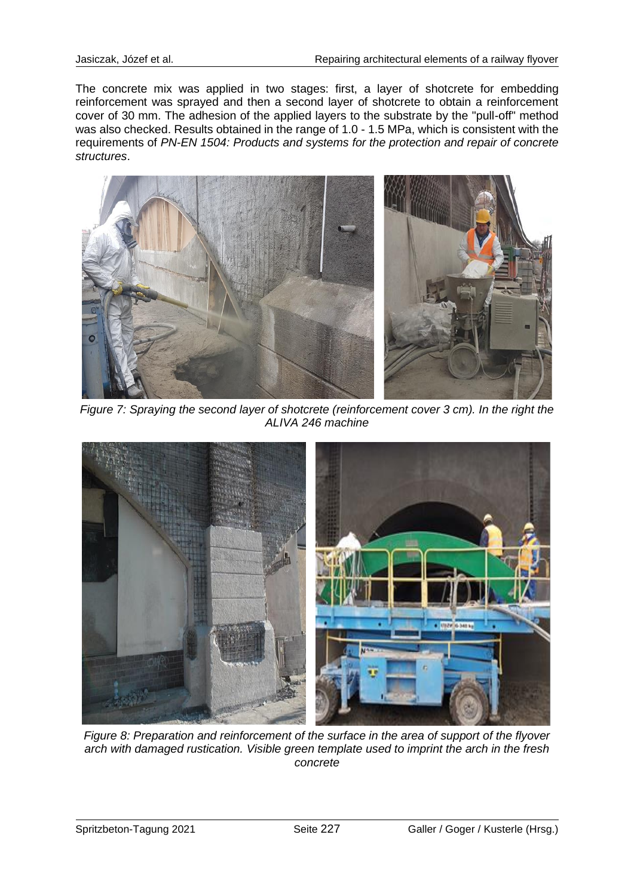The concrete mix was applied in two stages: first, a layer of shotcrete for embedding reinforcement was sprayed and then a second layer of shotcrete to obtain a reinforcement cover of 30 mm. The adhesion of the applied layers to the substrate by the "pull-off" method was also checked. Results obtained in the range of 1.0 - 1.5 MPa, which is consistent with the requirements of *PN-EN 1504: Products and systems for the protection and repair of concrete structures*.



*Figure 7: Spraying the second layer of shotcrete (reinforcement cover 3 cm). In the right the ALIVA 246 machine*



*Figure 8: Preparation and reinforcement of the surface in the area of support of the flyover arch with damaged rustication. Visible green template used to imprint the arch in the fresh concrete*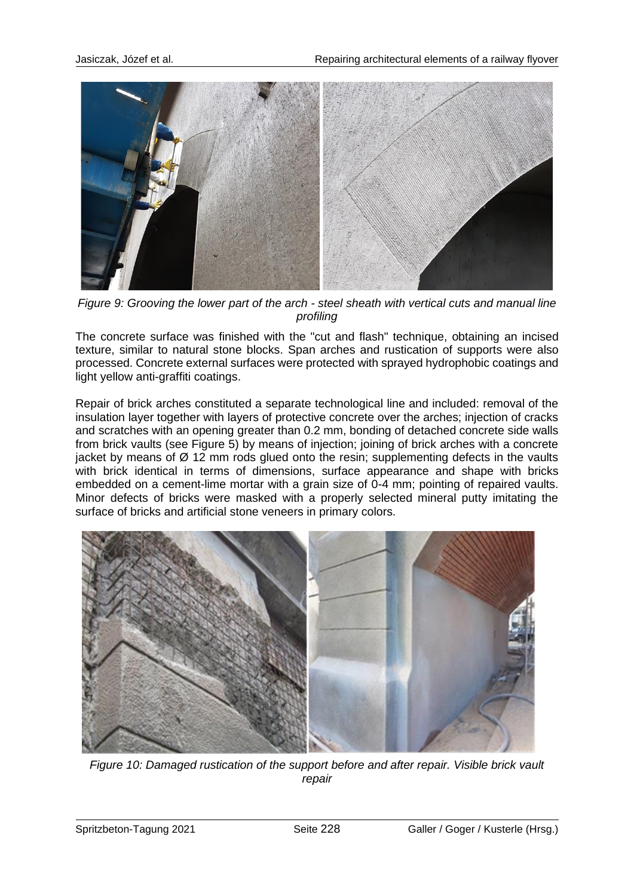

*Figure 9: Grooving the lower part of the arch - steel sheath with vertical cuts and manual line profiling*

The concrete surface was finished with the "cut and flash" technique, obtaining an incised texture, similar to natural stone blocks. Span arches and rustication of supports were also processed. Concrete external surfaces were protected with sprayed hydrophobic coatings and light yellow anti-graffiti coatings.

Repair of brick arches constituted a separate technological line and included: removal of the insulation layer together with layers of protective concrete over the arches; injection of cracks and scratches with an opening greater than 0.2 mm, bonding of detached concrete side walls from brick vaults (see Figure 5) by means of injection; joining of brick arches with a concrete jacket by means of  $\varnothing$  12 mm rods glued onto the resin; supplementing defects in the vaults with brick identical in terms of dimensions, surface appearance and shape with bricks embedded on a cement-lime mortar with a grain size of 0-4 mm; pointing of repaired vaults. Minor defects of bricks were masked with a properly selected mineral putty imitating the surface of bricks and artificial stone veneers in primary colors.



*Figure 10: Damaged rustication of the support before and after repair. Visible brick vault repair*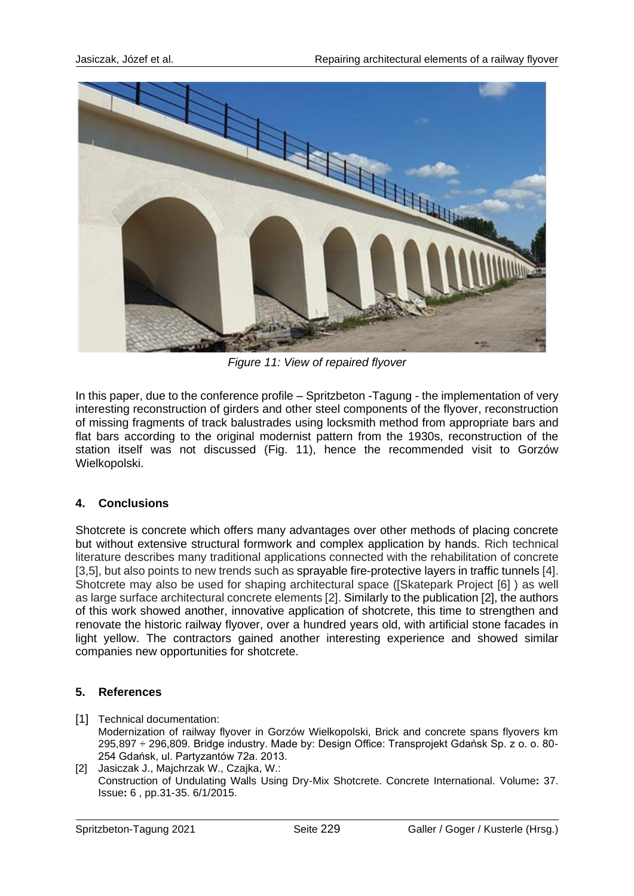

*Figure 11: View of repaired flyover*

In this paper, due to the conference profile – Spritzbeton -Tagung - the implementation of very interesting reconstruction of girders and other steel components of the flyover, reconstruction of missing fragments of track balustrades using locksmith method from appropriate bars and flat bars according to the original modernist pattern from the 1930s, reconstruction of the station itself was not discussed (Fig. 11), hence the recommended visit to Gorzów Wielkopolski.

## **4. Conclusions**

Shotcrete is concrete which offers many advantages over other methods of placing concrete but without extensive structural formwork and complex application by hands. Rich technical literature describes many traditional applications connected with the rehabilitation of concrete [3,5], but also points to new trends such as sprayable fire-protective layers in traffic tunnels [4]. Shotcrete may also be used for shaping architectural space ([Skatepark Project [6] ) as well as large surface architectural concrete elements [2]. Similarly to the publication [2], the authors of this work showed another, innovative application of shotcrete, this time to strengthen and renovate the historic railway flyover, over a hundred years old, with artificial stone facades in light yellow. The contractors gained another interesting experience and showed similar companies new opportunities for shotcrete.

## **5. References**

- [1] Technical documentation: Modernization of railway flyover in Gorzów Wielkopolski, Brick and concrete spans flyovers km 295,897 ÷ 296,809. Bridge industry. Made by: Design Office: Transprojekt Gdańsk Sp. z o. o. 80- 254 Gdańsk, ul. Partyzantów 72a. 2013.
- [2] Jasiczak J., Majchrzak W., Czajka, W.: Construction of Undulating Walls Using Dry-Mix Shotcrete. Concrete International. Volume**:** 37. Issue**:** 6 , pp.31-35. 6/1/2015.